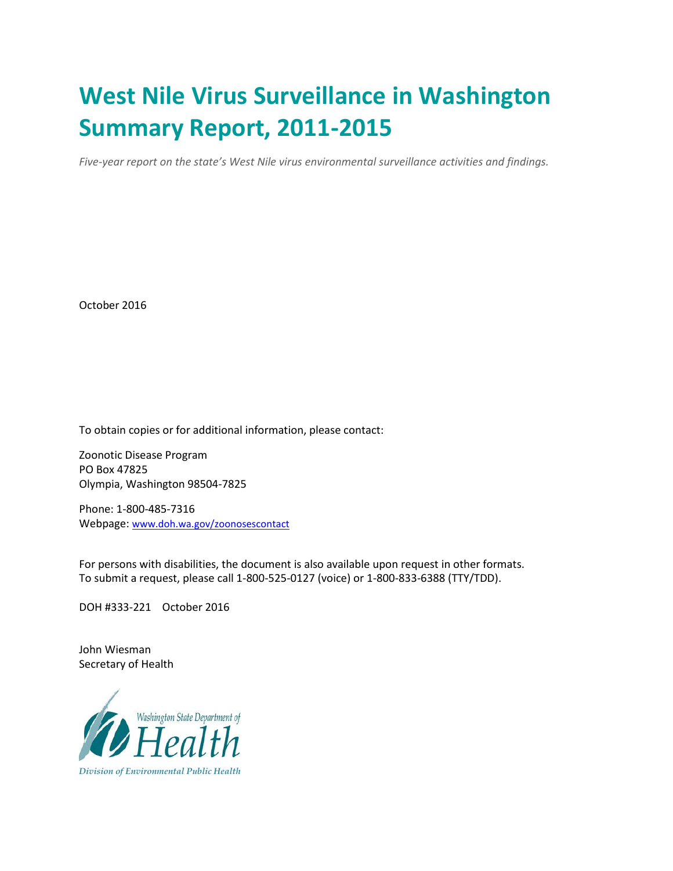# **West Nile Virus Surveillance in Washington Summary Report, 2011-2015**

*Five-year report on the state's West Nile virus environmental surveillance activities and findings.* 

October 2016

To obtain copies or for additional information, please contact:

Zoonotic Disease Program PO Box 47825 Olympia, Washington 98504-7825

Phone: 1-800-485-7316 Webpage: [www.doh.wa.gov/zoonosescontact](http://www.doh.wa.gov/zoonosescontact)

For persons with disabilities, the document is also available upon request in other formats. To submit a request, please call 1-800-525-0127 (voice) or 1-800-833-6388 (TTY/TDD).

DOH #333-221 October 2016

John Wiesman Secretary of Health

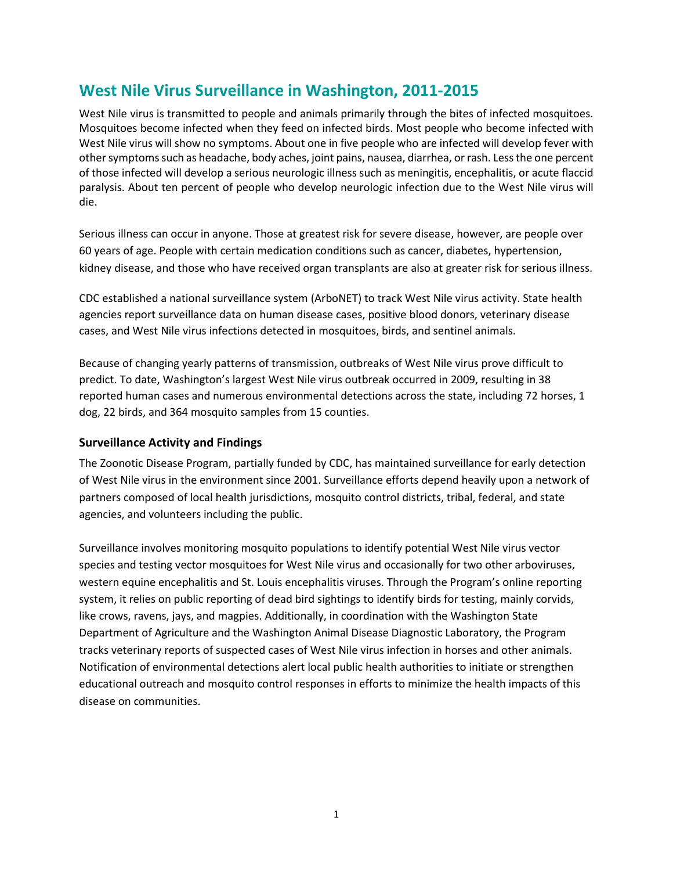## **West Nile Virus Surveillance in Washington, 2011-2015**

West Nile virus is transmitted to people and animals primarily through the bites of infected mosquitoes. Mosquitoes become infected when they feed on infected birds. Most people who become infected with West Nile virus will show no symptoms. About one in five people who are infected will develop fever with other symptoms such as headache, body aches, joint pains, nausea, diarrhea, or rash. Less the one percent of those infected will develop a serious neurologic illness such as meningitis, encephalitis, or acute flaccid paralysis. About ten percent of people who develop neurologic infection due to the West Nile virus will die.

Serious illness can occur in anyone. Those at greatest risk for severe disease, however, are people over 60 years of age. People with certain medication conditions such as cancer, diabetes, hypertension, kidney disease, and those who have received organ transplants are also at greater risk for serious illness.

CDC established a national surveillance system (ArboNET) to track West Nile virus activity. State health agencies report surveillance data on human disease cases, positive blood donors, veterinary disease cases, and West Nile virus infections detected in mosquitoes, birds, and sentinel animals.

Because of changing yearly patterns of transmission, outbreaks of West Nile virus prove difficult to predict. To date, Washington's largest West Nile virus outbreak occurred in 2009, resulting in 38 reported human cases and numerous environmental detections across the state, including 72 horses, 1 dog, 22 birds, and 364 mosquito samples from 15 counties.

### **Surveillance Activity and Findings**

The Zoonotic Disease Program, partially funded by CDC, has maintained surveillance for early detection of West Nile virus in the environment since 2001. Surveillance efforts depend heavily upon a network of partners composed of local health jurisdictions, mosquito control districts, tribal, federal, and state agencies, and volunteers including the public.

Surveillance involves monitoring mosquito populations to identify potential West Nile virus vector species and testing vector mosquitoes for West Nile virus and occasionally for two other arboviruses, western equine encephalitis and St. Louis encephalitis viruses. Through the Program's online reporting system, it relies on public reporting of dead bird sightings to identify birds for testing, mainly corvids, like crows, ravens, jays, and magpies. Additionally, in coordination with the Washington State Department of Agriculture and the Washington Animal Disease Diagnostic Laboratory, the Program tracks veterinary reports of suspected cases of West Nile virus infection in horses and other animals. Notification of environmental detections alert local public health authorities to initiate or strengthen educational outreach and mosquito control responses in efforts to minimize the health impacts of this disease on communities.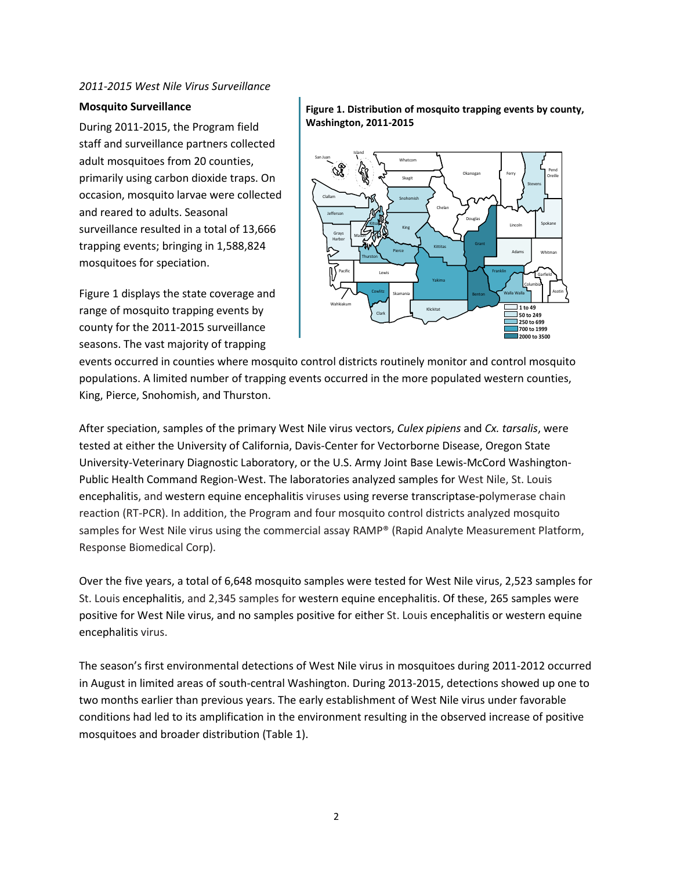#### *2011-2015 West Nile Virus Surveillance*

#### **Mosquito Surveillance**

During 2011-2015, the Program field staff and surveillance partners collected adult mosquitoes from 20 counties, primarily using carbon dioxide traps. On occasion, mosquito larvae were collected and reared to adults. Seasonal surveillance resulted in a total of 13,666 trapping events; bringing in 1,588,824 mosquitoes for speciation.

Figure 1 displays the state coverage and range of mosquito trapping events by county for the 2011-2015 surveillance seasons. The vast majority of trapping

#### **Figure 1. Distribution of mosquito trapping events by county, Washington, 2011-2015**



events occurred in counties where mosquito control districts routinely monitor and control mosquito populations. A limited number of trapping events occurred in the more populated western counties, King, Pierce, Snohomish, and Thurston.

After speciation, samples of the primary West Nile virus vectors, *Culex pipiens* and *Cx. tarsalis*, were tested at either the University of California, Davis-Center for Vectorborne Disease, Oregon State University-Veterinary Diagnostic Laboratory, or the U.S. Army Joint Base Lewis-McCord Washington-Public Health Command Region-West. The laboratories analyzed samples for West Nile, St. Louis encephalitis, and western equine encephalitis viruses using reverse transcriptase-polymerase chain reaction (RT-PCR). In addition, the Program and four mosquito control districts analyzed mosquito samples for West Nile virus using the commercial assay RAMP® (Rapid Analyte Measurement Platform, Response Biomedical Corp).

Over the five years, a total of 6,648 mosquito samples were tested for West Nile virus, 2,523 samples for St. Louis encephalitis, and 2,345 samples for western equine encephalitis. Of these, 265 samples were positive for West Nile virus, and no samples positive for either St. Louis encephalitis or western equine encephalitis virus.

The season's first environmental detections of West Nile virus in mosquitoes during 2011-2012 occurred in August in limited areas of south-central Washington. During 2013-2015, detections showed up one to two months earlier than previous years. The early establishment of West Nile virus under favorable conditions had led to its amplification in the environment resulting in the observed increase of positive mosquitoes and broader distribution (Table 1).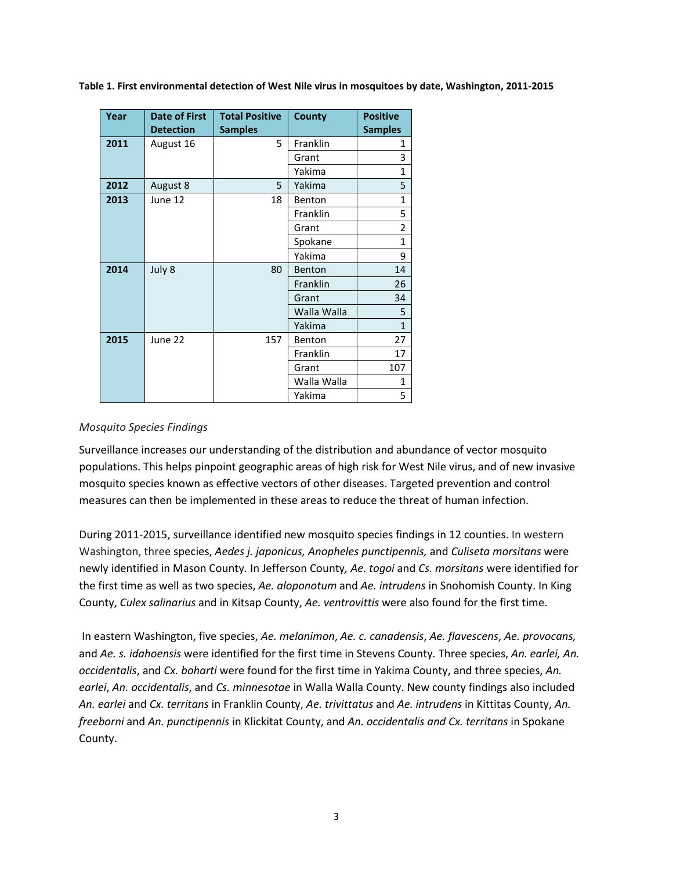**Table 1. First environmental detection of West Nile virus in mosquitoes by date, Washington, 2011-2015**

| Year | Date of First    | <b>Total Positive</b> | <b>County</b> | <b>Positive</b> |
|------|------------------|-----------------------|---------------|-----------------|
|      | <b>Detection</b> | <b>Samples</b>        |               | <b>Samples</b>  |
| 2011 | August 16        | 5                     | Franklin      | 1               |
|      |                  |                       | Grant         | 3               |
|      |                  |                       | Yakima        | $\mathbf{1}$    |
| 2012 | August 8         | 5                     | Yakima        | 5               |
| 2013 | June 12          | 18                    | Benton        | $\mathbf{1}$    |
|      |                  |                       | Franklin      | 5               |
|      |                  |                       | Grant         | 2               |
|      |                  |                       | Spokane       | $\mathbf{1}$    |
|      |                  |                       | Yakima        | 9               |
| 2014 | July 8           | 80                    | Benton        | 14              |
|      |                  |                       | Franklin      | 26              |
|      |                  |                       | Grant         | 34              |
|      |                  |                       | Walla Walla   | 5               |
|      |                  |                       | Yakima        | $\mathbf{1}$    |
| 2015 | June 22          | 157                   | Benton        | 27              |
|      |                  |                       | Franklin      | 17              |
|      |                  |                       | Grant         | 107             |
|      |                  |                       | Walla Walla   | $\mathbf{1}$    |
|      |                  |                       | Yakima        | 5               |

#### *Mosquito Species Findings*

Surveillance increases our understanding of the distribution and abundance of vector mosquito populations. This helps pinpoint geographic areas of high risk for West Nile virus, and of new invasive mosquito species known as effective vectors of other diseases. Targeted prevention and control measures can then be implemented in these areas to reduce the threat of human infection.

During 2011-2015, surveillance identified new mosquito species findings in 12 counties. In western Washington, three species, *Aedes j. japonicus, Anopheles punctipennis,* and *Culiseta morsitans* were newly identified in Mason County*.* In Jefferson County*, Ae. togoi* and *Cs. morsitans* were identified for the first time as well as two species, *Ae. aloponotum* and *Ae. intrudens* in Snohomish County. In King County, *Culex salinarius* and in Kitsap County, *Ae. ventrovittis* were also found for the first time.

In eastern Washington, five species, *Ae. melanimon*, *Ae. c. canadensis*, *Ae. flavescens*, *Ae. provocans,* and *Ae. s. idahoensis* were identified for the first time in Stevens County*.* Three species, *An. earlei, An. occidentalis*, and *Cx. boharti* were found for the first time in Yakima County, and three species, *An. earlei*, *An. occidentalis*, and *Cs. minnesotae* in Walla Walla County. New county findings also included *An. earlei* and *Cx. territans* in Franklin County, *Ae. trivittatus* and *Ae. intrudens* in Kittitas County, *An. freeborni* and *An. punctipennis* in Klickitat County, and *An. occidentalis and Cx. territans* in Spokane County.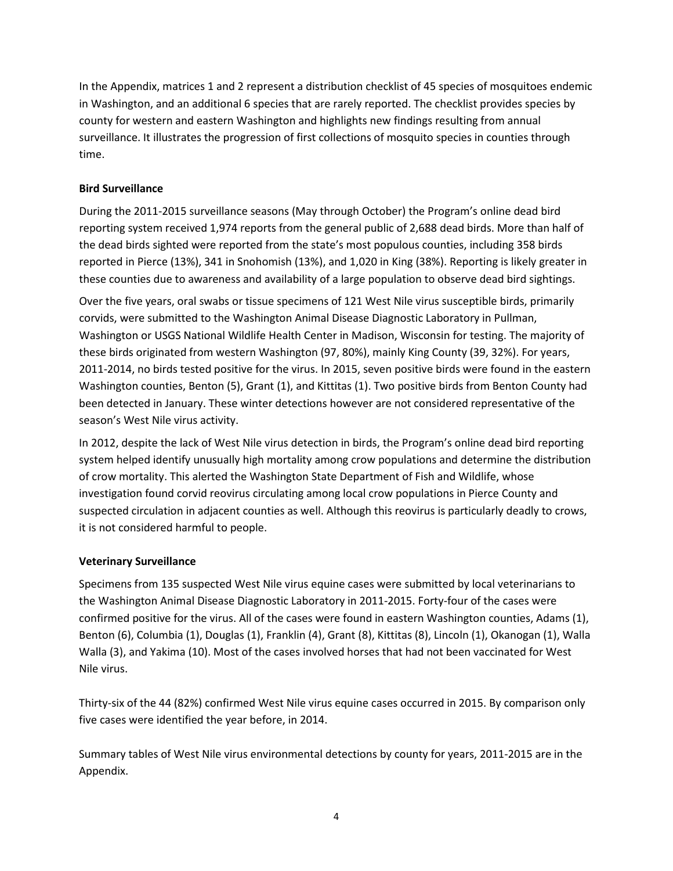In the Appendix, matrices 1 and 2 represent a distribution checklist of 45 species of mosquitoes endemic in Washington, and an additional 6 species that are rarely reported. The checklist provides species by county for western and eastern Washington and highlights new findings resulting from annual surveillance. It illustrates the progression of first collections of mosquito species in counties through time.

## **Bird Surveillance**

During the 2011-2015 surveillance seasons (May through October) the Program's online dead bird reporting system received 1,974 reports from the general public of 2,688 dead birds. More than half of the dead birds sighted were reported from the state's most populous counties, including 358 birds reported in Pierce (13%), 341 in Snohomish (13%), and 1,020 in King (38%). Reporting is likely greater in these counties due to awareness and availability of a large population to observe dead bird sightings.

Over the five years, oral swabs or tissue specimens of 121 West Nile virus susceptible birds, primarily corvids, were submitted to the Washington Animal Disease Diagnostic Laboratory in Pullman, Washington or USGS National Wildlife Health Center in Madison, Wisconsin for testing. The majority of these birds originated from western Washington (97, 80%), mainly King County (39, 32%). For years, 2011-2014, no birds tested positive for the virus. In 2015, seven positive birds were found in the eastern Washington counties, Benton (5), Grant (1), and Kittitas (1). Two positive birds from Benton County had been detected in January. These winter detections however are not considered representative of the season's West Nile virus activity.

In 2012, despite the lack of West Nile virus detection in birds, the Program's online dead bird reporting system helped identify unusually high mortality among crow populations and determine the distribution of crow mortality. This alerted the Washington State Department of Fish and Wildlife, whose investigation found corvid reovirus circulating among local crow populations in Pierce County and suspected circulation in adjacent counties as well. Although this reovirus is particularly deadly to crows, it is not considered harmful to people.

### **Veterinary Surveillance**

Specimens from 135 suspected West Nile virus equine cases were submitted by local veterinarians to the Washington Animal Disease Diagnostic Laboratory in 2011-2015. Forty-four of the cases were confirmed positive for the virus. All of the cases were found in eastern Washington counties, Adams (1), Benton (6), Columbia (1), Douglas (1), Franklin (4), Grant (8), Kittitas (8), Lincoln (1), Okanogan (1), Walla Walla (3), and Yakima (10). Most of the cases involved horses that had not been vaccinated for West Nile virus.

Thirty-six of the 44 (82%) confirmed West Nile virus equine cases occurred in 2015. By comparison only five cases were identified the year before, in 2014.

Summary tables of West Nile virus environmental detections by county for years, 2011-2015 are in the Appendix.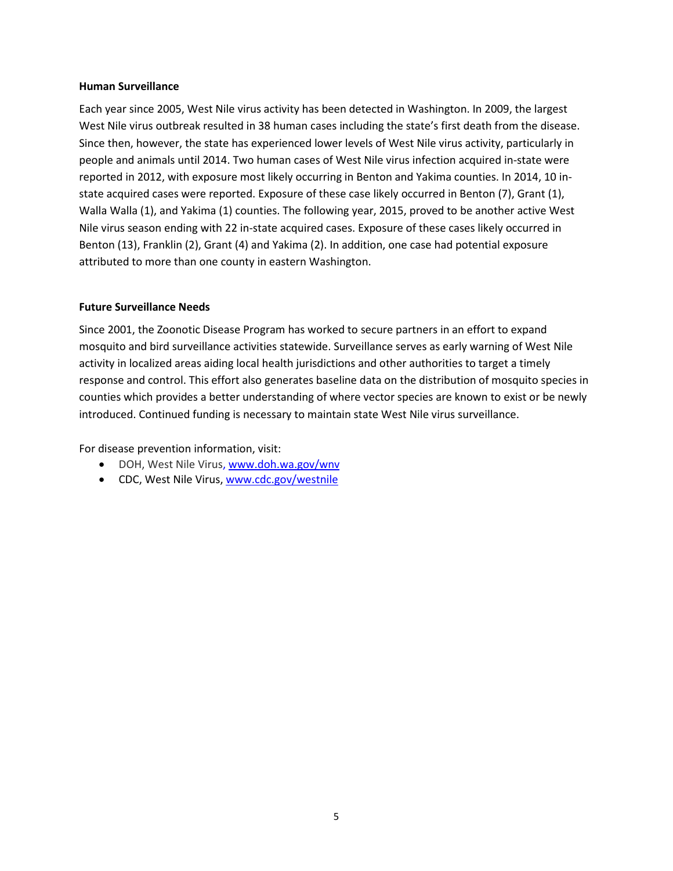#### **Human Surveillance**

Each year since 2005, West Nile virus activity has been detected in Washington. In 2009, the largest West Nile virus outbreak resulted in 38 human cases including the state's first death from the disease. Since then, however, the state has experienced lower levels of West Nile virus activity, particularly in people and animals until 2014. Two human cases of West Nile virus infection acquired in-state were reported in 2012, with exposure most likely occurring in Benton and Yakima counties. In 2014, 10 instate acquired cases were reported. Exposure of these case likely occurred in Benton (7), Grant (1), Walla Walla (1), and Yakima (1) counties. The following year, 2015, proved to be another active West Nile virus season ending with 22 in-state acquired cases. Exposure of these cases likely occurred in Benton (13), Franklin (2), Grant (4) and Yakima (2). In addition, one case had potential exposure attributed to more than one county in eastern Washington.

#### **Future Surveillance Needs**

Since 2001, the Zoonotic Disease Program has worked to secure partners in an effort to expand mosquito and bird surveillance activities statewide. Surveillance serves as early warning of West Nile activity in localized areas aiding local health jurisdictions and other authorities to target a timely response and control. This effort also generates baseline data on the distribution of mosquito species in counties which provides a better understanding of where vector species are known to exist or be newly introduced. Continued funding is necessary to maintain state West Nile virus surveillance.

For disease prevention information, visit:

- DOH, West Nile Virus, [www.doh.wa.gov/wnv](http://www.doh.wa.gov/wnv)
- CDC, West Nile Virus[, www.cdc.gov/westnile](http://www.cdc.gov/westnile)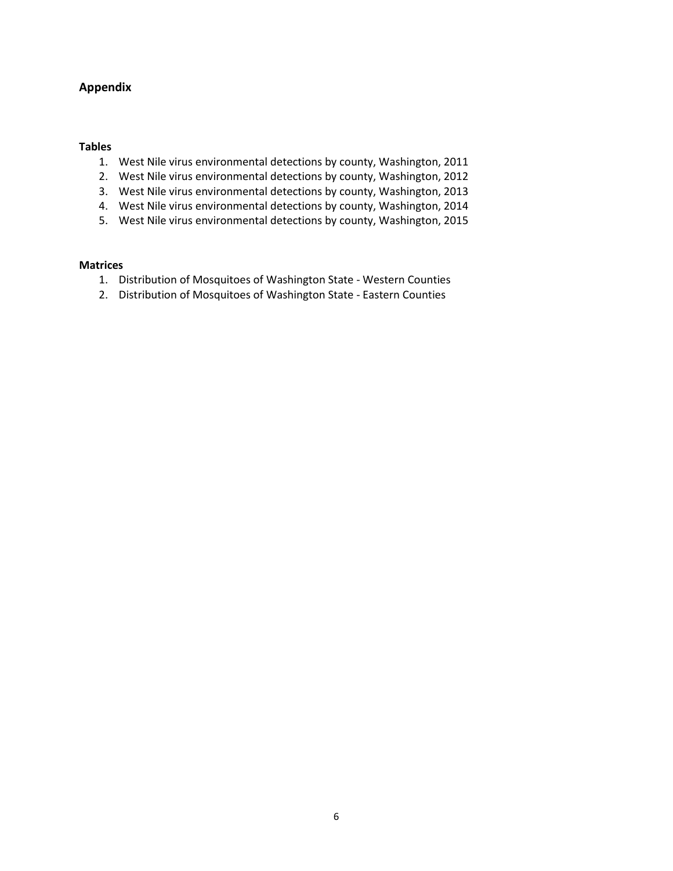## **Appendix**

#### **Tables**

- 1. West Nile virus environmental detections by county, Washington, 2011
- 2. West Nile virus environmental detections by county, Washington, 2012
- 3. West Nile virus environmental detections by county, Washington, 2013
- 4. West Nile virus environmental detections by county, Washington, 2014
- 5. West Nile virus environmental detections by county, Washington, 2015

#### **Matrices**

- 1. Distribution of Mosquitoes of Washington State Western Counties
- 2. Distribution of Mosquitoes of Washington State Eastern Counties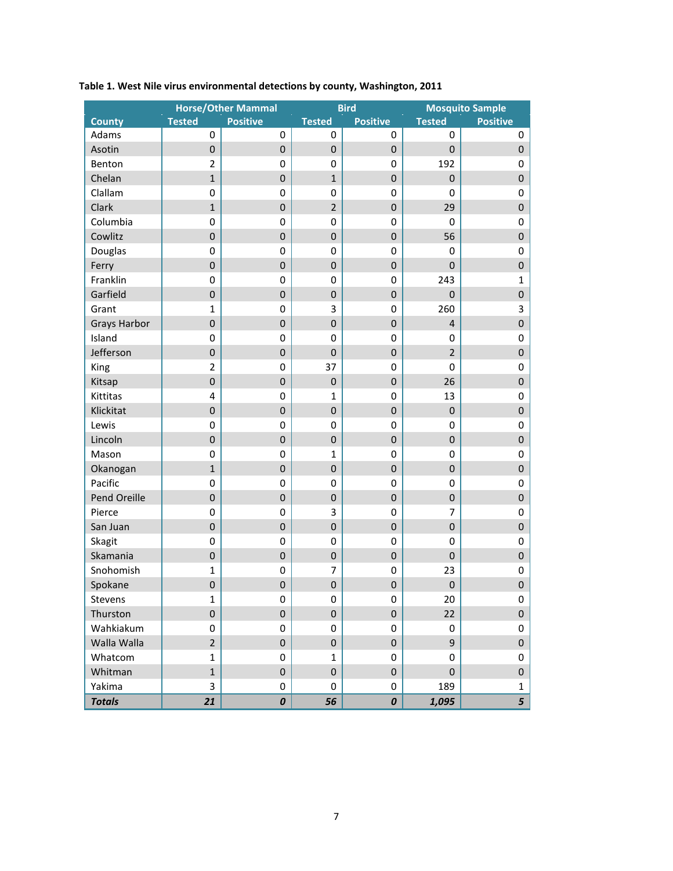|                     |                  | <b>Horse/Other Mammal</b> |                | <b>Bird</b>      |                         | <b>Mosquito Sample</b>    |  |  |  |  |
|---------------------|------------------|---------------------------|----------------|------------------|-------------------------|---------------------------|--|--|--|--|
| <b>County</b>       | <b>Tested</b>    | <b>Positive</b>           | <b>Tested</b>  | <b>Positive</b>  | <b>Tested</b>           | <b>Positive</b>           |  |  |  |  |
| Adams               | $\mathbf 0$      | 0                         | 0              | 0                | 0                       | 0                         |  |  |  |  |
| Asotin              | $\pmb{0}$        | $\overline{0}$            | 0              | $\pmb{0}$        | $\pmb{0}$               | $\pmb{0}$                 |  |  |  |  |
| Benton              | $\overline{2}$   | 0                         | 0              | 0                | 192                     | $\pmb{0}$                 |  |  |  |  |
| Chelan              | $\mathbf{1}$     | $\overline{0}$            | $\mathbf{1}$   | $\mathbf 0$      | $\mathbf 0$             | $\mathbf 0$               |  |  |  |  |
| Clallam             | $\pmb{0}$        | 0                         | 0              | 0                | 0                       | $\pmb{0}$                 |  |  |  |  |
| Clark               | $\mathbf{1}$     | $\overline{0}$            | $\overline{2}$ | $\boldsymbol{0}$ | 29                      | $\boldsymbol{0}$          |  |  |  |  |
| Columbia            | $\mathbf 0$      | $\mathbf 0$               | 0              | 0                | 0                       | $\pmb{0}$                 |  |  |  |  |
| Cowlitz             | $\boldsymbol{0}$ | $\mathbf 0$               | $\pmb{0}$      | $\pmb{0}$        | 56                      | $\pmb{0}$                 |  |  |  |  |
| Douglas             | $\mathbf 0$      | $\mathbf 0$               | 0              | 0                | 0                       | $\pmb{0}$                 |  |  |  |  |
| Ferry               | $\mathbf 0$      | $\mathbf 0$               | $\pmb{0}$      | $\boldsymbol{0}$ | $\pmb{0}$               | $\pmb{0}$                 |  |  |  |  |
| Franklin            | $\mathbf 0$      | 0                         | $\mathbf 0$    | 0                | 243                     | $\mathbf 1$               |  |  |  |  |
| Garfield            | $\boldsymbol{0}$ | $\mathbf 0$               | 0              | $\pmb{0}$        | $\pmb{0}$               | $\pmb{0}$                 |  |  |  |  |
| Grant               | $\mathbf{1}$     | 0                         | 3              | 0                | 260                     | $\ensuremath{\mathsf{3}}$ |  |  |  |  |
| <b>Grays Harbor</b> | $\overline{0}$   | $\overline{0}$            | $\pmb{0}$      | $\mathbf 0$      | $\overline{\mathbf{4}}$ | $\mathbf 0$               |  |  |  |  |
| Island              | $\pmb{0}$        | 0                         | 0              | 0                | 0                       | $\pmb{0}$                 |  |  |  |  |
| Jefferson           | $\mathbf 0$      | $\overline{0}$            | $\pmb{0}$      | $\boldsymbol{0}$ | $\overline{2}$          | $\boldsymbol{0}$          |  |  |  |  |
| King                | $\overline{2}$   | $\mathbf 0$               | 37             | 0                | 0                       | $\pmb{0}$                 |  |  |  |  |
| Kitsap              | $\boldsymbol{0}$ | $\boldsymbol{0}$          | $\pmb{0}$      | $\pmb{0}$        | 26                      | $\pmb{0}$                 |  |  |  |  |
| Kittitas            | 4                | 0                         | $\mathbf{1}$   | 0                | 13                      | $\pmb{0}$                 |  |  |  |  |
| Klickitat           | $\boldsymbol{0}$ | $\mathbf 0$               | $\pmb{0}$      | $\boldsymbol{0}$ | $\pmb{0}$               | $\pmb{0}$                 |  |  |  |  |
| Lewis               | $\mathbf 0$      | 0                         | $\mathbf 0$    | 0                | 0                       | $\pmb{0}$                 |  |  |  |  |
| Lincoln             | $\boldsymbol{0}$ | $\mathbf 0$               | $\pmb{0}$      | $\pmb{0}$        | $\pmb{0}$               | $\pmb{0}$                 |  |  |  |  |
| Mason               | $\mathbf 0$      | $\mathbf 0$               | $\mathbf{1}$   | 0                | 0                       | $\pmb{0}$                 |  |  |  |  |
| Okanogan            | $\mathbf{1}$     | $\overline{0}$            | $\pmb{0}$      | $\mathbf 0$      | $\pmb{0}$               | $\mathbf 0$               |  |  |  |  |
| Pacific             | $\pmb{0}$        | $\mathbf 0$               | 0              | 0                | 0                       | $\pmb{0}$                 |  |  |  |  |
| Pend Oreille        | $\overline{0}$   | $\overline{0}$            | $\pmb{0}$      | $\boldsymbol{0}$ | $\pmb{0}$               | $\boldsymbol{0}$          |  |  |  |  |
| Pierce              | $\mathbf 0$      | $\mathbf 0$               | 3              | $\boldsymbol{0}$ | 7                       | $\pmb{0}$                 |  |  |  |  |
| San Juan            | $\boldsymbol{0}$ | $\mathbf 0$               | $\pmb{0}$      | $\pmb{0}$        | $\pmb{0}$               | $\pmb{0}$                 |  |  |  |  |
| Skagit              | $\mathbf 0$      | $\mathbf 0$               | 0              | 0                | 0                       | $\pmb{0}$                 |  |  |  |  |
| Skamania            | $\boldsymbol{0}$ | $\mathbf 0$               | $\pmb{0}$      | $\boldsymbol{0}$ | $\pmb{0}$               | $\pmb{0}$                 |  |  |  |  |
| Snohomish           | $\mathbf{1}$     | 0                         | $\overline{7}$ | 0                | 23                      | $\pmb{0}$                 |  |  |  |  |
| Spokane             | $\mathbf 0$      | $\mathbf 0$               | $\pmb{0}$      | $\boldsymbol{0}$ | $\pmb{0}$               | $\mathbf 0$               |  |  |  |  |
| Stevens             | 1                | 0                         | 0              | 0                | 20                      | 0                         |  |  |  |  |
| Thurston            | $\overline{0}$   | $\overline{0}$            | $\pmb{0}$      | $\mathbf 0$      | 22                      | $\pmb{0}$                 |  |  |  |  |
| Wahkiakum           | 0                | 0                         | 0              | 0                | 0                       | $\pmb{0}$                 |  |  |  |  |
| Walla Walla         | $\overline{2}$   | $\mathbf 0$               | 0              | 0                | 9                       | $\pmb{0}$                 |  |  |  |  |
| Whatcom             | $\mathbf{1}$     | 0                         | $\mathbf{1}$   | 0                | 0                       | $\pmb{0}$                 |  |  |  |  |
| Whitman             | $\mathbf{1}$     | 0                         | 0              | 0                | $\mathbf 0$             | $\pmb{0}$                 |  |  |  |  |
| Yakima              | $\overline{3}$   | 0                         | 0              | 0                | 189                     | $\mathbf{1}$              |  |  |  |  |
| <b>Totals</b>       | 21               | 0                         | 56             | 0                | 1,095                   | 5                         |  |  |  |  |

## **Table 1. West Nile virus environmental detections by county, Washington, 2011**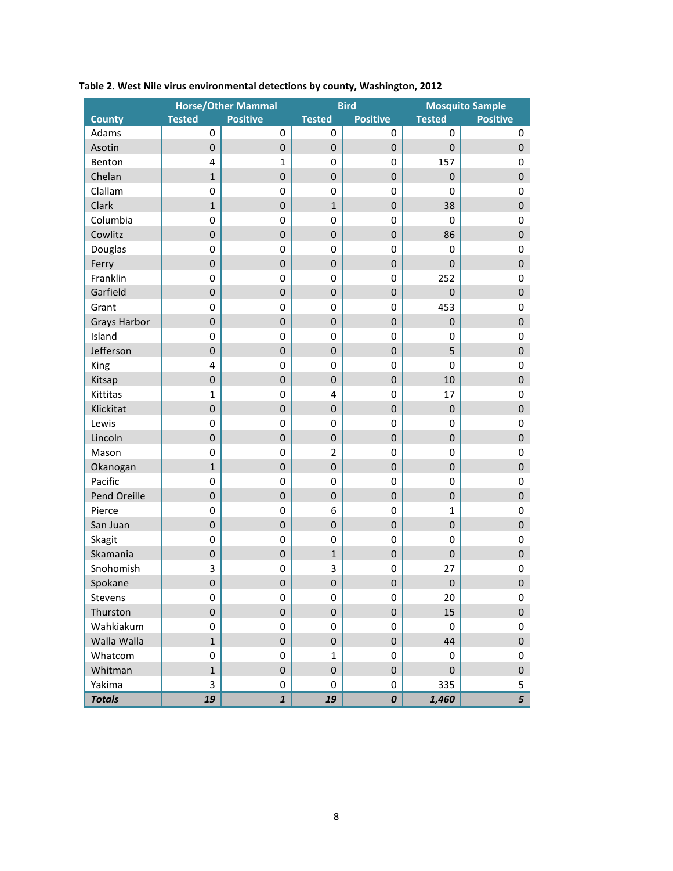|                     |                  | <b>Horse/Other Mammal</b> |                  | <b>Bird</b>        |               | <b>Mosquito Sample</b> |  |  |  |  |  |
|---------------------|------------------|---------------------------|------------------|--------------------|---------------|------------------------|--|--|--|--|--|
| <b>County</b>       | <b>Tested</b>    | <b>Positive</b>           | <b>Tested</b>    | <b>Positive</b>    | <b>Tested</b> | <b>Positive</b>        |  |  |  |  |  |
| Adams               | $\mathbf 0$      | 0                         | 0                | 0                  | 0             | 0                      |  |  |  |  |  |
| Asotin              | $\mathbf 0$      | $\pmb{0}$                 | $\pmb{0}$        | $\boldsymbol{0}$   | $\pmb{0}$     | $\pmb{0}$              |  |  |  |  |  |
| Benton              | 4                | $\mathbf{1}$              | $\mathbf 0$      | 0                  | 157           | $\pmb{0}$              |  |  |  |  |  |
| Chelan              | $\mathbf{1}$     | $\boldsymbol{0}$          | $\boldsymbol{0}$ | $\mathbf 0$        | $\pmb{0}$     | $\pmb{0}$              |  |  |  |  |  |
| Clallam             | 0                | 0                         | 0                | 0                  | 0             | $\boldsymbol{0}$       |  |  |  |  |  |
| Clark               | $\mathbf{1}$     | $\mathbf 0$               | $\mathbf 1$      | $\mathbf 0$        | 38            | $\mathbf 0$            |  |  |  |  |  |
| Columbia            | 0                | 0                         | $\pmb{0}$        | 0                  | 0             | $\boldsymbol{0}$       |  |  |  |  |  |
| Cowlitz             | $\overline{0}$   | $\mathbf 0$               | $\boldsymbol{0}$ | $\mathbf 0$        | 86            | $\mathbf 0$            |  |  |  |  |  |
| Douglas             | 0                | $\pmb{0}$                 | $\pmb{0}$        | $\boldsymbol{0}$   | 0             | $\pmb{0}$              |  |  |  |  |  |
| Ferry               | $\boldsymbol{0}$ | $\mathbf 0$               | $\boldsymbol{0}$ | $\mathbf 0$        | $\pmb{0}$     | $\boldsymbol{0}$       |  |  |  |  |  |
| Franklin            | 0                | 0                         | 0                | 0                  | 252           | $\pmb{0}$              |  |  |  |  |  |
| Garfield            | $\mathbf 0$      | $\pmb{0}$                 | $\pmb{0}$        | $\boldsymbol{0}$   | $\pmb{0}$     | $\mathbf 0$            |  |  |  |  |  |
| Grant               | 0                | 0                         | 0                | 0                  | 453           | $\pmb{0}$              |  |  |  |  |  |
| <b>Grays Harbor</b> | $\pmb{0}$        | $\boldsymbol{0}$          | $\boldsymbol{0}$ | $\mathbf 0$        | $\pmb{0}$     | $\pmb{0}$              |  |  |  |  |  |
| Island              | 0                | $\pmb{0}$                 | 0                | 0                  | 0             | $\boldsymbol{0}$       |  |  |  |  |  |
| Jefferson           | $\pmb{0}$        | $\pmb{0}$                 | $\boldsymbol{0}$ | $\boldsymbol{0}$   | 5             | $\pmb{0}$              |  |  |  |  |  |
| King                | 4                | $\pmb{0}$                 | 0                | 0                  | $\pmb{0}$     | $\boldsymbol{0}$       |  |  |  |  |  |
| Kitsap              | $\overline{0}$   | $\mathbf 0$               | $\boldsymbol{0}$ | $\mathbf 0$        | 10            | $\mathbf 0$            |  |  |  |  |  |
| Kittitas            | $\mathbf{1}$     | $\pmb{0}$                 | 4                | $\boldsymbol{0}$   | 17            | $\pmb{0}$              |  |  |  |  |  |
| Klickitat           | $\boldsymbol{0}$ | $\mathbf 0$               | $\boldsymbol{0}$ | $\mathbf 0$        | $\pmb{0}$     | $\pmb{0}$              |  |  |  |  |  |
| Lewis               | $\pmb{0}$        | 0                         | 0                | 0                  | 0             | $\pmb{0}$              |  |  |  |  |  |
| Lincoln             | $\mathbf 0$      | $\pmb{0}$                 | $\pmb{0}$        | $\boldsymbol{0}$   | $\pmb{0}$     | $\mathbf 0$            |  |  |  |  |  |
| Mason               | 0                | 0                         | $\overline{2}$   | 0                  | 0             | $\pmb{0}$              |  |  |  |  |  |
| Okanogan            | $\mathbf{1}$     | $\boldsymbol{0}$          | $\boldsymbol{0}$ | $\mathbf 0$        | $\pmb{0}$     | $\pmb{0}$              |  |  |  |  |  |
| Pacific             | 0                | $\pmb{0}$                 | 0                | $\mathbf 0$        | 0             | $\boldsymbol{0}$       |  |  |  |  |  |
| Pend Oreille        | $\boldsymbol{0}$ | $\pmb{0}$                 | $\boldsymbol{0}$ | $\boldsymbol{0}$   | $\pmb{0}$     | $\pmb{0}$              |  |  |  |  |  |
| Pierce              | 0                | $\pmb{0}$                 | 6                | 0                  | $\mathbf{1}$  | $\boldsymbol{0}$       |  |  |  |  |  |
| San Juan            | $\overline{0}$   | $\mathbf 0$               | $\boldsymbol{0}$ | $\mathbf 0$        | $\pmb{0}$     | $\pmb{0}$              |  |  |  |  |  |
| Skagit              | 0                | $\pmb{0}$                 | $\pmb{0}$        | $\pmb{0}$          | 0             | $\pmb{0}$              |  |  |  |  |  |
| Skamania            | $\boldsymbol{0}$ | $\pmb{0}$                 | $\mathbf 1$      | $\mathbf 0$        | $\pmb{0}$     | $\pmb{0}$              |  |  |  |  |  |
| Snohomish           | 3                | 0                         | 3                | 0                  | 27            | $\boldsymbol{0}$       |  |  |  |  |  |
| Spokane             | $\mathbf 0$      | $\boldsymbol{0}$          | $\boldsymbol{0}$ | $\mathbf 0$        | $\pmb{0}$     | $\boldsymbol{0}$       |  |  |  |  |  |
| Stevens             | 0                | 0                         | 0                | 0                  | 20            | 0                      |  |  |  |  |  |
| Thurston            | $\mathbf 0$      | $\mathbf 0$               | $\pmb{0}$        | $\mathbf{0}$       | 15            | $\pmb{0}$              |  |  |  |  |  |
| Wahkiakum           | 0                | 0                         | 0                | 0                  | $\mathbf 0$   | $\boldsymbol{0}$       |  |  |  |  |  |
| Walla Walla         | $\mathbf{1}$     | $\mathbf 0$               | 0                | 0                  | 44            | $\pmb{0}$              |  |  |  |  |  |
| Whatcom             | 0                | 0                         | 1                | $\mathbf 0$        | 0             | 0                      |  |  |  |  |  |
| Whitman             | $\mathbf{1}$     | $\mathbf 0$               | $\pmb{0}$        | 0                  | $\mathbf 0$   | $\pmb{0}$              |  |  |  |  |  |
| Yakima              | 3                | 0                         | 0                | 0                  | 335           | 5                      |  |  |  |  |  |
| <b>Totals</b>       | 19               | $\mathbf{1}$              | 19               | $\pmb{\mathit{O}}$ | 1,460         | 5                      |  |  |  |  |  |

## **Table 2. West Nile virus environmental detections by county, Washington, 2012**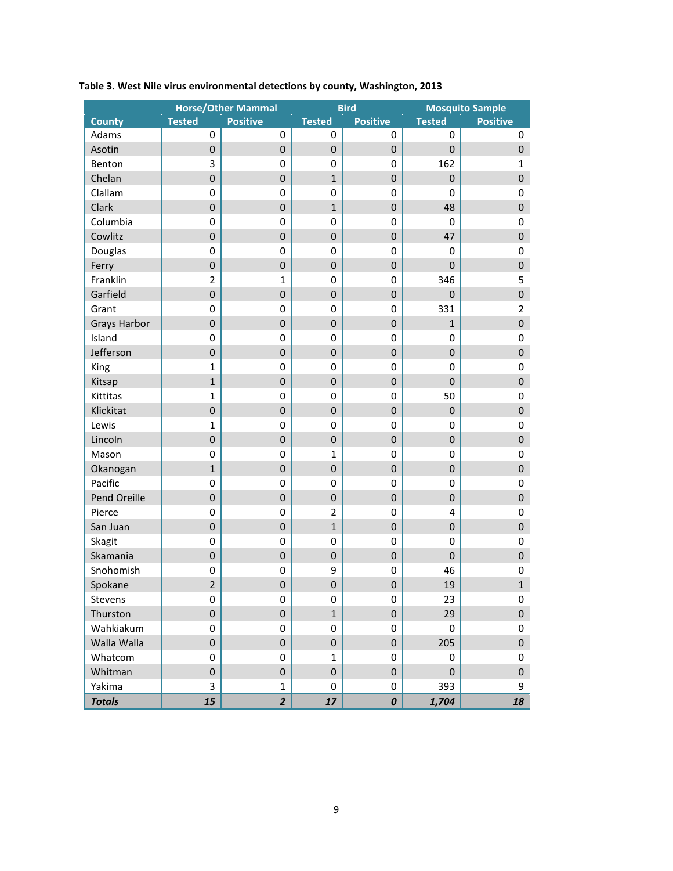|                     |                  | <b>Horse/Other Mammal</b> |                | <b>Bird</b>      |               | <b>Mosquito Sample</b> |
|---------------------|------------------|---------------------------|----------------|------------------|---------------|------------------------|
| <b>County</b>       | <b>Tested</b>    | <b>Positive</b>           | <b>Tested</b>  | <b>Positive</b>  | <b>Tested</b> | <b>Positive</b>        |
| Adams               | $\mathbf 0$      | 0                         | 0              | 0                | 0             | 0                      |
| Asotin              | $\boldsymbol{0}$ | $\mathbf{0}$              | 0              | $\pmb{0}$        | $\pmb{0}$     | $\pmb{0}$              |
| Benton              | 3                | 0                         | 0              | $\pmb{0}$        | 162           | $\mathbf 1$            |
| Chelan              | $\mathbf 0$      | $\overline{0}$            | $\mathbf{1}$   | $\boldsymbol{0}$ | $\pmb{0}$     | $\mathbf 0$            |
| Clallam             | $\pmb{0}$        | 0                         | 0              | 0                | 0             | $\boldsymbol{0}$       |
| Clark               | $\mathbf 0$      | $\overline{0}$            | $\mathbf{1}$   | $\boldsymbol{0}$ | 48            | $\mathbf 0$            |
| Columbia            | $\mathbf 0$      | $\mathbf 0$               | 0              | 0                | 0             | $\pmb{0}$              |
| Cowlitz             | $\mathbf 0$      | $\mathbf 0$               | $\pmb{0}$      | $\boldsymbol{0}$ | 47            | $\pmb{0}$              |
| Douglas             | $\mathbf 0$      | $\mathbf 0$               | 0              | 0                | 0             | $\pmb{0}$              |
| Ferry               | $\boldsymbol{0}$ | $\mathbf 0$               | $\pmb{0}$      | $\boldsymbol{0}$ | $\pmb{0}$     | $\mathbf 0$            |
| Franklin            | $\overline{2}$   | $\mathbf{1}$              | 0              | 0                | 346           | 5                      |
| Garfield            | $\boldsymbol{0}$ | $\boldsymbol{0}$          | 0              | $\pmb{0}$        | $\pmb{0}$     | $\mathbf 0$            |
| Grant               | $\mathbf 0$      | 0                         | 0              | $\pmb{0}$        | 331           | $\mathbf 2$            |
| <b>Grays Harbor</b> | $\overline{0}$   | $\overline{0}$            | $\pmb{0}$      | $\boldsymbol{0}$ | $\mathbf{1}$  | $\mathbf 0$            |
| Island              | $\pmb{0}$        | 0                         | 0              | 0                | 0             | $\boldsymbol{0}$       |
| Jefferson           | $\mathbf 0$      | $\overline{0}$            | $\pmb{0}$      | $\boldsymbol{0}$ | $\pmb{0}$     | $\boldsymbol{0}$       |
| King                | $\mathbf{1}$     | $\mathbf 0$               | 0              | 0                | 0             | $\pmb{0}$              |
| Kitsap              | $\mathbf{1}$     | $\mathbf 0$               | $\pmb{0}$      | $\boldsymbol{0}$ | $\pmb{0}$     | $\pmb{0}$              |
| Kittitas            | $\mathbf{1}$     | $\mathbf 0$               | 0              | $\boldsymbol{0}$ | 50            | $\pmb{0}$              |
| Klickitat           | $\boldsymbol{0}$ | $\mathbf 0$               | 0              | $\boldsymbol{0}$ | $\pmb{0}$     | $\mathbf 0$            |
| Lewis               | $\mathbf{1}$     | 0                         | 0              | 0                | 0             | $\pmb{0}$              |
| Lincoln             | $\boldsymbol{0}$ | $\boldsymbol{0}$          | $\pmb{0}$      | $\pmb{0}$        | $\pmb{0}$     | $\pmb{0}$              |
| Mason               | $\mathbf 0$      | 0                         | $\mathbf 1$    | $\boldsymbol{0}$ | 0             | $\pmb{0}$              |
| Okanogan            | $\mathbf{1}$     | $\mathbf 0$               | $\pmb{0}$      | $\boldsymbol{0}$ | $\pmb{0}$     | $\pmb{0}$              |
| Pacific             | $\pmb{0}$        | 0                         | 0              | 0                | 0             | $\boldsymbol{0}$       |
| Pend Oreille        | $\mathbf 0$      | $\overline{0}$            | $\pmb{0}$      | $\mathbf 0$      | $\pmb{0}$     | $\boldsymbol{0}$       |
| Pierce              | $\mathbf 0$      | $\mathbf 0$               | $\overline{2}$ | 0                | 4             | $\pmb{0}$              |
| San Juan            | $\mathbf 0$      | $\mathbf 0$               | $\mathbf{1}$   | $\boldsymbol{0}$ | $\pmb{0}$     | $\pmb{0}$              |
| Skagit              | $\mathbf 0$      | $\mathbf 0$               | 0              | $\pmb{0}$        | $\pmb{0}$     | $\pmb{0}$              |
| Skamania            | $\boldsymbol{0}$ | $\mathbf 0$               | $\pmb{0}$      | $\boldsymbol{0}$ | $\pmb{0}$     | $\pmb{0}$              |
| Snohomish           | 0                | 0                         | 9              | 0                | 46            | $\boldsymbol{0}$       |
| Spokane             | $\overline{2}$   | $\mathbf 0$               | $\pmb{0}$      | $\mathbf 0$      | 19            | $\mathbf 1$            |
| Stevens             | $\boldsymbol{0}$ | 0                         | 0              | 0                | 23            | 0                      |
| Thurston            | $\overline{0}$   | $\overline{0}$            | $\mathbf{1}$   | $\pmb{0}$        | 29            | $\pmb{0}$              |
| Wahkiakum           | 0                | 0                         | 0              | 0                | 0             | $\pmb{0}$              |
| Walla Walla         | $\overline{0}$   | $\mathbf 0$               | 0              | 0                | 205           | $\boldsymbol{0}$       |
| Whatcom             | 0                | 0                         | $\mathbf{1}$   | 0                | 0             | $\pmb{0}$              |
| Whitman             | $\mathbf 0$      | 0                         | 0              | 0                | $\pmb{0}$     | $\pmb{0}$              |
| Yakima              | 3                | $\mathbf{1}$              | 0              | 0                | 393           | 9                      |
| <b>Totals</b>       | 15               | $\overline{2}$            | 17             | 0                | 1,704         | 18                     |

## **Table 3. West Nile virus environmental detections by county, Washington, 2013**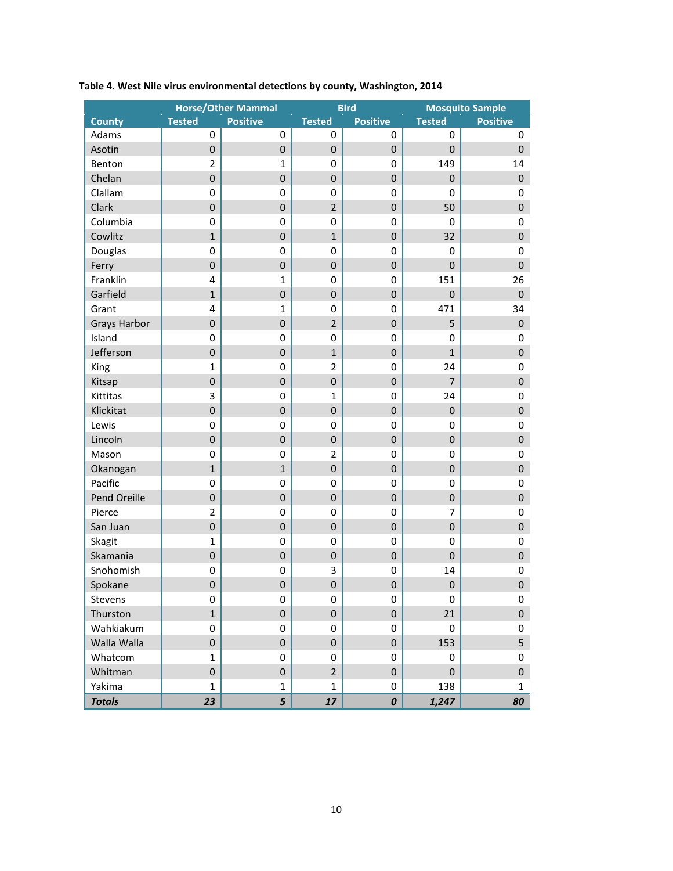|                     |                  | <b>Horse/Other Mammal</b> |                  | <b>Bird</b>      |                | <b>Mosquito Sample</b> |
|---------------------|------------------|---------------------------|------------------|------------------|----------------|------------------------|
| <b>County</b>       | <b>Tested</b>    | <b>Positive</b>           | <b>Tested</b>    | <b>Positive</b>  | <b>Tested</b>  | <b>Positive</b>        |
| Adams               | 0                | 0                         | 0                | 0                | 0              | 0                      |
| Asotin              | $\pmb{0}$        | $\pmb{0}$                 | 0                | 0                | $\pmb{0}$      | $\pmb{0}$              |
| Benton              | $\overline{2}$   | $\mathbf{1}$              | 0                | 0                | 149            | 14                     |
| Chelan              | $\overline{0}$   | $\overline{0}$            | $\boldsymbol{0}$ | $\mathbf 0$      | $\mathbf 0$    | $\pmb{0}$              |
| Clallam             | $\pmb{0}$        | 0                         | 0                | 0                | 0              | $\pmb{0}$              |
| Clark               | $\mathbf 0$      | $\overline{0}$            | $\overline{2}$   | $\mathbf 0$      | 50             | $\mathbf 0$            |
| Columbia            | $\mathbf 0$      | 0                         | 0                | 0                | 0              | $\pmb{0}$              |
| Cowlitz             | $\mathbf{1}$     | $\mathbf 0$               | $\mathbf{1}$     | $\pmb{0}$        | 32             | $\boldsymbol{0}$       |
| Douglas             | 0                | 0                         | 0                | 0                | 0              | $\pmb{0}$              |
| Ferry               | $\pmb{0}$        | $\boldsymbol{0}$          | 0                | 0                | $\pmb{0}$      | $\boldsymbol{0}$       |
| Franklin            | 4                | $\mathbf{1}$              | 0                | 0                | 151            | 26                     |
| Garfield            | $\mathbf{1}$     | $\boldsymbol{0}$          | 0                | 0                | $\pmb{0}$      | $\boldsymbol{0}$       |
| Grant               | 4                | $\mathbf{1}$              | 0                | 0                | 471            | 34                     |
| <b>Grays Harbor</b> | $\overline{0}$   | $\overline{0}$            | $\overline{2}$   | $\mathbf 0$      | 5              | $\boldsymbol{0}$       |
| Island              | $\pmb{0}$        | 0                         | 0                | 0                | 0              | $\pmb{0}$              |
| Jefferson           | $\mathbf 0$      | $\overline{0}$            | $\mathbf{1}$     | 0                | $\mathbf{1}$   | $\boldsymbol{0}$       |
| King                | $\mathbf{1}$     | 0                         | $\overline{2}$   | 0                | 24             | $\pmb{0}$              |
| Kitsap              | $\mathbf 0$      | $\boldsymbol{0}$          | $\pmb{0}$        | $\pmb{0}$        | $\overline{7}$ | $\boldsymbol{0}$       |
| Kittitas            | 3                | 0                         | $\mathbf{1}$     | 0                | 24             | $\pmb{0}$              |
| Klickitat           | $\mathbf 0$      | $\mathbf 0$               | $\pmb{0}$        | 0                | $\pmb{0}$      | $\pmb{0}$              |
| Lewis               | $\mathbf 0$      | 0                         | 0                | 0                | 0              | $\pmb{0}$              |
| Lincoln             | $\boldsymbol{0}$ | $\boldsymbol{0}$          | 0                | $\pmb{0}$        | $\pmb{0}$      | $\pmb{0}$              |
| Mason               | $\pmb{0}$        | 0                         | $\overline{2}$   | 0                | 0              | $\pmb{0}$              |
| Okanogan            | $\mathbf{1}$     | $\mathbf{1}$              | $\mathbf 0$      | $\boldsymbol{0}$ | $\mathbf 0$    | $\pmb{0}$              |
| Pacific             | $\pmb{0}$        | 0                         | 0                | 0                | 0              | $\pmb{0}$              |
| Pend Oreille        | $\mathbf 0$      | $\overline{0}$            | $\boldsymbol{0}$ | $\mathbf 0$      | $\mathbf 0$    | $\pmb{0}$              |
| Pierce              | $\overline{2}$   | 0                         | 0                | 0                | 7              | $\pmb{0}$              |
| San Juan            | $\boldsymbol{0}$ | $\boldsymbol{0}$          | $\pmb{0}$        | $\pmb{0}$        | $\pmb{0}$      | $\pmb{0}$              |
| Skagit              | $\mathbf{1}$     | 0                         | 0                | 0                | $\pmb{0}$      | $\pmb{0}$              |
| Skamania            | $\pmb{0}$        | $\boldsymbol{0}$          | 0                | 0                | $\pmb{0}$      | $\pmb{0}$              |
| Snohomish           | 0                | 0                         | 3                | 0                | 14             | $\boldsymbol{0}$       |
| Spokane             | $\boldsymbol{0}$ | $\boldsymbol{0}$          | $\pmb{0}$        | 0                | $\mathbf 0$    | $\pmb{0}$              |
| Stevens             | 0                | 0                         | 0                | 0                | 0              | 0                      |
| Thurston            | $\mathbf{1}$     | 0                         | $\pmb{0}$        | $\pmb{0}$        | 21             | $\pmb{0}$              |
| Wahkiakum           | 0                | 0                         | 0                | 0                | $\mathbf 0$    | 0                      |
| Walla Walla         | 0                | $\mathbf 0$               | $\mathbf{0}$     | 0                | 153            | 5                      |
| Whatcom             | $\mathbf{1}$     | 0                         | 0                | 0                | 0              | 0                      |
| Whitman             | $\mathbf 0$      | 0                         | $\overline{2}$   | 0                | $\mathbf 0$    | $\pmb{0}$              |
| Yakima              | $\mathbf{1}$     | $\mathbf{1}$              | $\mathbf{1}$     | 0                | 138            | $\mathbf{1}$           |
| <b>Totals</b>       | 23               | 5                         | 17               | 0                | 1,247          | 80                     |

## **Table 4. West Nile virus environmental detections by county, Washington, 2014**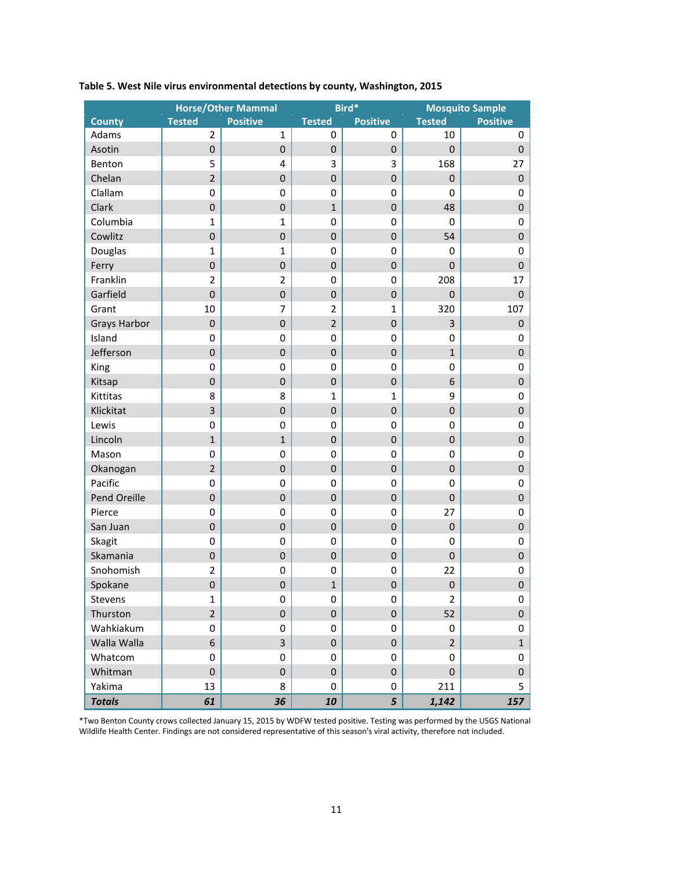|                     |                  | <b>Horse/Other Mammal</b> |                  | Bird*            |                | <b>Mosquito Sample</b> |  |  |  |  |  |  |
|---------------------|------------------|---------------------------|------------------|------------------|----------------|------------------------|--|--|--|--|--|--|
| <b>County</b>       | <b>Tested</b>    | <b>Positive</b>           | <b>Tested</b>    | <b>Positive</b>  | <b>Tested</b>  | <b>Positive</b>        |  |  |  |  |  |  |
| Adams               | 2                | $\mathbf{1}$              | $\mathbf 0$      | 0                | 10             | $\mathbf 0$            |  |  |  |  |  |  |
| Asotin              | $\pmb{0}$        | $\pmb{0}$                 | $\pmb{0}$        | $\pmb{0}$        | $\pmb{0}$      | $\pmb{0}$              |  |  |  |  |  |  |
| Benton              | 5                | 4                         | 3                | 3                | 168            | 27                     |  |  |  |  |  |  |
| Chelan              | $\overline{2}$   | $\boldsymbol{0}$          | $\pmb{0}$        | $\boldsymbol{0}$ | $\pmb{0}$      | $\boldsymbol{0}$       |  |  |  |  |  |  |
| Clallam             | $\pmb{0}$        | 0                         | 0                | 0                | 0              | $\pmb{0}$              |  |  |  |  |  |  |
| Clark               | $\pmb{0}$        | $\boldsymbol{0}$          | $\mathbf{1}$     | 0                | 48             | $\pmb{0}$              |  |  |  |  |  |  |
| Columbia            | $\mathbf{1}$     | $\mathbf{1}$              | $\pmb{0}$        | 0                | 0              | $\pmb{0}$              |  |  |  |  |  |  |
| Cowlitz             | $\mathbf 0$      | $\overline{0}$            | $\boldsymbol{0}$ | $\mathbf 0$      | 54             | $\mathbf 0$            |  |  |  |  |  |  |
| Douglas             | $\mathbf{1}$     | $\mathbf{1}$              | $\pmb{0}$        | 0                | 0              | $\boldsymbol{0}$       |  |  |  |  |  |  |
| Ferry               | $\pmb{0}$        | $\boldsymbol{0}$          | $\pmb{0}$        | $\boldsymbol{0}$ | $\pmb{0}$      | $\mathbf 0$            |  |  |  |  |  |  |
| Franklin            | $\overline{2}$   | $\overline{2}$            | 0                | 0                | 208            | 17                     |  |  |  |  |  |  |
| Garfield            | $\boldsymbol{0}$ | $\pmb{0}$                 | $\pmb{0}$        | $\pmb{0}$        | $\pmb{0}$      | $\mathbf 0$            |  |  |  |  |  |  |
| Grant               | 10               | $\overline{7}$            | $\overline{2}$   | $\mathbf{1}$     | 320            | 107                    |  |  |  |  |  |  |
| <b>Grays Harbor</b> | $\pmb{0}$        | $\boldsymbol{0}$          | $\overline{2}$   | $\pmb{0}$        | 3              | $\pmb{0}$              |  |  |  |  |  |  |
| Island              | 0                | $\pmb{0}$                 | $\pmb{0}$        | $\boldsymbol{0}$ | 0              | $\pmb{0}$              |  |  |  |  |  |  |
| Jefferson           | $\pmb{0}$        | $\boldsymbol{0}$          | $\pmb{0}$        | $\pmb{0}$        | $\mathbf{1}$   | $\pmb{0}$              |  |  |  |  |  |  |
| King                | $\pmb{0}$        | $\pmb{0}$                 | 0                | 0                | 0              | $\pmb{0}$              |  |  |  |  |  |  |
| Kitsap              | $\mathbf 0$      | $\overline{0}$            | $\boldsymbol{0}$ | $\mathbf 0$      | 6              | $\mathbf 0$            |  |  |  |  |  |  |
| Kittitas            | 8                | 8                         | $\mathbf{1}$     | $\mathbf{1}$     | 9              | $\boldsymbol{0}$       |  |  |  |  |  |  |
| Klickitat           | $\overline{3}$   | $\mathbf 0$               | $\pmb{0}$        | $\boldsymbol{0}$ | $\pmb{0}$      | $\boldsymbol{0}$       |  |  |  |  |  |  |
| Lewis               | $\pmb{0}$        | 0                         | 0                | 0                | 0              | $\pmb{0}$              |  |  |  |  |  |  |
| Lincoln             | $\mathbf{1}$     | $\mathbf{1}$              | $\pmb{0}$        | $\pmb{0}$        | $\pmb{0}$      | $\pmb{0}$              |  |  |  |  |  |  |
| Mason               | $\pmb{0}$        | 0                         | 0                | $\pmb{0}$        | 0              | $\pmb{0}$              |  |  |  |  |  |  |
| Okanogan            | $\overline{2}$   | $\boldsymbol{0}$          | $\pmb{0}$        | $\pmb{0}$        | $\pmb{0}$      | $\pmb{0}$              |  |  |  |  |  |  |
| Pacific             | $\pmb{0}$        | $\pmb{0}$                 | 0                | $\pmb{0}$        | 0              | $\boldsymbol{0}$       |  |  |  |  |  |  |
| Pend Oreille        | $\pmb{0}$        | $\pmb{0}$                 | $\pmb{0}$        | $\pmb{0}$        | $\pmb{0}$      | $\mathbf 0$            |  |  |  |  |  |  |
| Pierce              | $\pmb{0}$        | $\pmb{0}$                 | 0                | 0                | 27             | $\pmb{0}$              |  |  |  |  |  |  |
| San Juan            | $\mathbf 0$      | $\overline{0}$            | $\mathbf 0$      | $\mathbf 0$      | $\mathbf 0$    | $\mathbf 0$            |  |  |  |  |  |  |
| Skagit              | $\pmb{0}$        | $\pmb{0}$                 | 0                | 0                | 0              | $\pmb{0}$              |  |  |  |  |  |  |
| Skamania            | $\boldsymbol{0}$ | $\boldsymbol{0}$          | $\pmb{0}$        | $\boldsymbol{0}$ | $\pmb{0}$      | $\boldsymbol{0}$       |  |  |  |  |  |  |
| Snohomish           | $\overline{2}$   | 0                         | 0                | 0                | 22             | $\pmb{0}$              |  |  |  |  |  |  |
| Spokane             | $\boldsymbol{0}$ | $\mathbf 0$               | $\mathbf 1$      | $\mathbf 0$      | $\mathbf 0$    | $\boldsymbol{0}$       |  |  |  |  |  |  |
| Stevens             | $\mathbf{1}$     | 0                         | 0                | 0                | $\overline{2}$ | 0                      |  |  |  |  |  |  |
| Thurston            | $\overline{2}$   | $\mathbf{0}$              | $\mathbf 0$      | $\pmb{0}$        | 52             | $\pmb{0}$              |  |  |  |  |  |  |
| Wahkiakum           | 0                | 0                         | 0                | 0                | 0              | $\boldsymbol{0}$       |  |  |  |  |  |  |
| Walla Walla         | 6                | $\overline{3}$            | $\mathbf 0$      | 0                | $\overline{2}$ | $\mathbf{1}$           |  |  |  |  |  |  |
| Whatcom             | $\mathbf 0$      | 0                         | 0                | 0                | 0              | $\boldsymbol{0}$       |  |  |  |  |  |  |
| Whitman             | $\mathbf 0$      | $\mathbf 0$               | $\pmb{0}$        | $\pmb{0}$        | $\mathbf 0$    | $\pmb{0}$              |  |  |  |  |  |  |
| Yakima              | 13               | 8                         | 0                | 0                | 211            | 5                      |  |  |  |  |  |  |
| <b>Totals</b>       | 61               | 36                        | 10               | 5                | 1,142          | 157                    |  |  |  |  |  |  |

#### **Table 5. West Nile virus environmental detections by county, Washington, 2015**

\*Two Benton County crows collected January 15, 2015 by WDFW tested positive. Testing was performed by the USGS National Wildlife Health Center. Findings are not considered representative of this season's viral activity, therefore not included.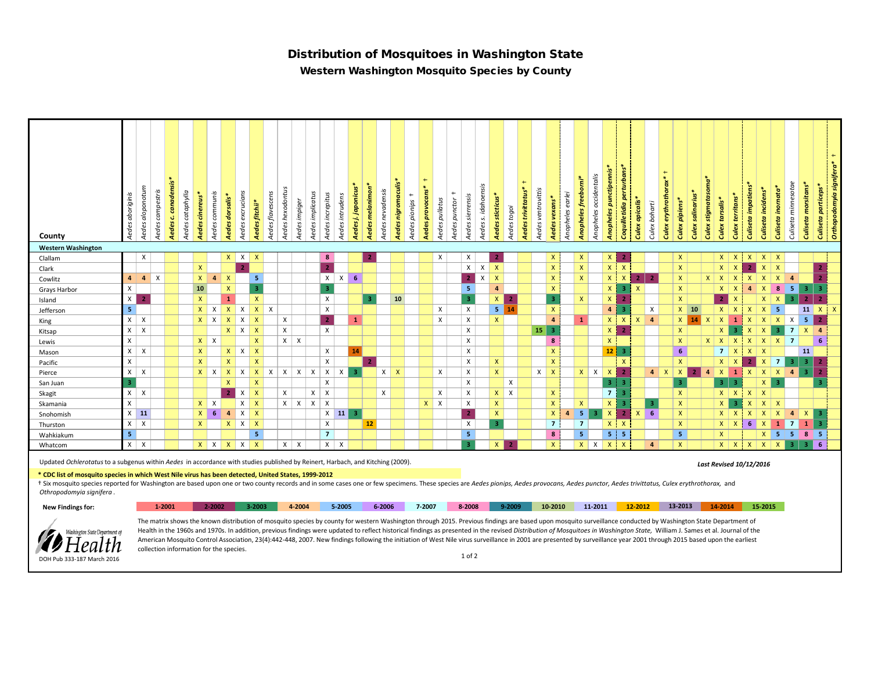## Distribution of Mosquitoes in Washington State

Western Washington Mosquito Species by County

| County                                                                                                                                                                                                                                                                                                                                                            | Aedes aboriginis | Aedes aloponotum | Aedes campestris | canadensis*<br>$\mathbf{G}$<br>Aedes    | Aedes cataphylla<br>Aedes cinereus* | Aedes communis |             | Aedes excrucians<br>Aedes dorsalis* | Aedes fitchii* | Aedes flavescens | Aedes hexodontus | Aedes impiger | Aedes implicatus         | Aedes increpitus          | Aedes intrudens | Aedes j. japonicus*<br><b>Aedes melanimon</b> | Aedes nevadensis | Aedes nigromaculis* | $+$<br>Aedes pionips | $+$<br>Aedes provocans*<br>Aedes pullatus                                                                                                                                                                                                                                                                                                                                                                                                                                                                                                                                                                                                                               | $^{+}$<br>Aedes punctor | Aedes sierrensis                 | Aedes s. idahoensis | Aedes sticticus*        | Aedes togoi  | $+$<br>Aedes trivittatus*<br>Aedes ventrovittis | vexans*<br><b>Aedes</b> | Anopheles earlei | Anopheles freeborni* | Anopheles occidentalis | Anopheles punctipennis* | Coquilletidia perturbans* | Culex apicalis* | $+$<br>Culex boharti      | Culex erythrothorax*<br>Culex pipiens* | <b>Culex salinarius*</b> | Culex stigmatasoma* | Culex tarsalis* | Culex territans* | <b>Culiseta impatiens</b><br>Culiseta incidens* | Culiseta inornata*  | Culiseta minnesotae | Culiseta morsitans* | <b>Culiseta particeps*</b> | $\leftarrow$<br>Orthopodomyia signifera* |
|-------------------------------------------------------------------------------------------------------------------------------------------------------------------------------------------------------------------------------------------------------------------------------------------------------------------------------------------------------------------|------------------|------------------|------------------|-----------------------------------------|-------------------------------------|----------------|-------------|-------------------------------------|----------------|------------------|------------------|---------------|--------------------------|---------------------------|-----------------|-----------------------------------------------|------------------|---------------------|----------------------|-------------------------------------------------------------------------------------------------------------------------------------------------------------------------------------------------------------------------------------------------------------------------------------------------------------------------------------------------------------------------------------------------------------------------------------------------------------------------------------------------------------------------------------------------------------------------------------------------------------------------------------------------------------------------|-------------------------|----------------------------------|---------------------|-------------------------|--------------|-------------------------------------------------|-------------------------|------------------|----------------------|------------------------|-------------------------|---------------------------|-----------------|---------------------------|----------------------------------------|--------------------------|---------------------|-----------------|------------------|-------------------------------------------------|---------------------|---------------------|---------------------|----------------------------|------------------------------------------|
| <b>Western Washington</b>                                                                                                                                                                                                                                                                                                                                         |                  |                  |                  |                                         |                                     |                |             |                                     |                |                  |                  |               |                          |                           |                 |                                               |                  |                     |                      |                                                                                                                                                                                                                                                                                                                                                                                                                                                                                                                                                                                                                                                                         |                         |                                  |                     |                         |              |                                                 |                         |                  |                      |                        |                         |                           |                 |                           |                                        |                          |                     |                 |                  |                                                 |                     |                     |                     |                            |                                          |
| Clallam                                                                                                                                                                                                                                                                                                                                                           |                  | X                |                  |                                         |                                     |                |             | $x \mid x$                          | $\mathsf{x}$   |                  |                  |               |                          | 8                         |                 | 2                                             |                  |                     |                      | X                                                                                                                                                                                                                                                                                                                                                                                                                                                                                                                                                                                                                                                                       |                         | $\boldsymbol{\mathsf{X}}$        |                     | -2                      |              |                                                 | $\mathsf{X}$            |                  | X                    |                        | $\mathsf{X}$            | 2                         |                 |                           | $\mathsf{X}$                           |                          |                     | $X \mid X$      |                  | $X$ $X$ $X$                                     |                     |                     |                     |                            |                                          |
| Clark                                                                                                                                                                                                                                                                                                                                                             |                  |                  |                  |                                         | $\mathsf{X}$                        |                |             | $\overline{2}$                      |                |                  |                  |               |                          | $\overline{2}$            |                 |                                               |                  |                     |                      |                                                                                                                                                                                                                                                                                                                                                                                                                                                                                                                                                                                                                                                                         |                         | $\mathsf{X}$                     | $\mathsf{X}$        | $\mathsf{x}$            |              |                                                 | $\mathsf{x}$            |                  | $\mathsf{X}$         |                        | $\mathsf{X}$            | $\mathbf{x}$              |                 |                           | $\mathsf{X}$                           |                          |                     | $X \mid X$      |                  | 2 <sup>1</sup>                                  | $x \mid x$          |                     |                     | $\overline{ }$             |                                          |
| Cowlitz                                                                                                                                                                                                                                                                                                                                                           | $\overline{4}$   | $4 \times$       |                  |                                         |                                     | $\mathsf{X}^-$ | $4 \mid X$  |                                     |                | 5                |                  |               |                          | $\mathsf{X}$              | $x \mid$        | 6                                             |                  |                     |                      |                                                                                                                                                                                                                                                                                                                                                                                                                                                                                                                                                                                                                                                                         |                         | 2 <sub>1</sub>                   | $\mathsf{X}$        | $\mathsf{X}$            |              |                                                 | $\mathsf{X}$            |                  | $\mathsf{X}^-$       |                        | $\mathsf{X}$            | $\mathsf{X}$              | 2 <sub>1</sub>  | $\overline{2}$            | $\mathsf{X}$                           |                          | $x \mid x \mid$     |                 | $\mathbf{X}$     | $x \mid x$                                      | $\mathsf{X}$        | $\overline{4}$      |                     |                            |                                          |
| Grays Harbor                                                                                                                                                                                                                                                                                                                                                      | X                |                  |                  |                                         | 10                                  |                |             | $\mathsf{X}$                        |                | 3 <sup>°</sup>   |                  |               |                          | 3                         |                 |                                               |                  |                     |                      |                                                                                                                                                                                                                                                                                                                                                                                                                                                                                                                                                                                                                                                                         |                         | -5                               |                     | $\overline{4}$          |              |                                                 | $\mathsf{X}$            |                  |                      |                        | $\mathsf{X}$            | -3                        | $\mathsf{X}$    |                           | $\mathsf{X}$                           |                          |                     | x               | $\mathbf{x}$     | 4                                               | 8 <sup>1</sup><br>X | $-5$                | $\vert$ 3           | -3.                        |                                          |
| Island                                                                                                                                                                                                                                                                                                                                                            | $\mathsf{X}$     |                  |                  |                                         | $\mathsf{X}$                        |                |             | $\mathbf{1}$                        |                | $\mathsf{X}$     |                  |               |                          | $\times$                  |                 | В                                             |                  | 10                  |                      |                                                                                                                                                                                                                                                                                                                                                                                                                                                                                                                                                                                                                                                                         |                         | $\overline{3}$                   |                     | $\mathsf{x}$            | $\mathbf{2}$ |                                                 | $\overline{\mathbf{3}}$ |                  | $\mathsf{X}$         |                        | $\mathsf{X}$            | $\overline{2}$            |                 |                           | $\mathsf{X}$                           |                          |                     | 2 <sup>1</sup>  | $\mathsf{X}$     | $\mathsf{x}$                                    | $\mathsf{X}$        | 3 <sup>1</sup>      | $\overline{2}$      |                            |                                          |
| Jefferson                                                                                                                                                                                                                                                                                                                                                         | 5                |                  |                  |                                         |                                     |                |             | $X$ $X$ $X$ $X$                     |                | $X$ $X$          |                  |               |                          | $\times$                  |                 |                                               |                  |                     |                      | $\mathsf{x}$                                                                                                                                                                                                                                                                                                                                                                                                                                                                                                                                                                                                                                                            |                         | $\mathsf{x}$                     |                     | $5 \vert 14$            |              |                                                 | $\mathbf{x}$            |                  |                      |                        | $\overline{4}$          | -3                        |                 | $\boldsymbol{\mathsf{x}}$ |                                        | $X$ 10                   |                     | $X \mid X$      |                  | $X \mid X \mid 5$                               |                     |                     | $11 \times$         |                            | $\mathbf{x}$                             |
| King                                                                                                                                                                                                                                                                                                                                                              | X                | $\mathsf{x}$     |                  |                                         |                                     |                | $X$ $X$ $X$ | $\mathsf{X}$                        | $\mathsf{x}$   |                  | X                |               |                          | $\overline{2}$            |                 | $\mathbf{1}$                                  |                  |                     |                      | X                                                                                                                                                                                                                                                                                                                                                                                                                                                                                                                                                                                                                                                                       |                         | $\mathsf{x}$                     |                     | $\mathsf{x}$            |              |                                                 | $\overline{a}$          |                  | $\mathbf{1}$         |                        | $\mathsf{X}$            | $\mathbf{x}$              | $\mathsf{x}$    | $\overline{4}$            |                                        | $X$ 14 $X$               |                     | $X \mid 1$      |                  | $X$ $X$ $X$ $X$                                 |                     |                     | $-5$                | $\mathbf{2}$               |                                          |
| Kitsap                                                                                                                                                                                                                                                                                                                                                            | $x \mid$         | $\mathsf{X}$     |                  |                                         |                                     |                |             | $X$ $X$                             |                |                  | X                |               |                          | $\boldsymbol{\mathsf{x}}$ |                 |                                               |                  |                     |                      |                                                                                                                                                                                                                                                                                                                                                                                                                                                                                                                                                                                                                                                                         |                         | $\boldsymbol{\mathsf{x}}$        |                     |                         |              |                                                 | $15 \mid 3$             |                  |                      |                        | $\mathsf{X}$            | $\overline{2}$            |                 |                           | $\mathsf{X}$                           |                          |                     | $x \parallel$   | -3               | $X$ $X$ 3 7 $X$ 4                               |                     |                     |                     |                            |                                          |
| Lewis                                                                                                                                                                                                                                                                                                                                                             | X                |                  |                  |                                         |                                     | $x \mid x$     |             |                                     |                | $\mathsf{x}$     |                  | $x \mid x$    |                          |                           |                 |                                               |                  |                     |                      |                                                                                                                                                                                                                                                                                                                                                                                                                                                                                                                                                                                                                                                                         |                         | $\boldsymbol{\mathsf{x}}$        |                     |                         |              |                                                 | 8                       |                  |                      |                        | $\mathsf{x}$            |                           |                 |                           | $\mathsf{X}$                           |                          |                     | $X$ $X$ $X$     |                  | $X$ $X$ $X$ $7$                                 |                     |                     |                     | 6                          |                                          |
| Mason                                                                                                                                                                                                                                                                                                                                                             | x                | $\times$         |                  |                                         | $\mathsf{X}$                        |                |             | $X$ $X$                             | $\mathbf{X}$   |                  |                  |               |                          | $\boldsymbol{\mathsf{x}}$ |                 | 14                                            |                  |                     |                      |                                                                                                                                                                                                                                                                                                                                                                                                                                                                                                                                                                                                                                                                         |                         | $\pmb{\times}$                   |                     |                         |              |                                                 | $\mathsf{x}$            |                  |                      |                        | $12\,$                  | - 3                       |                 |                           | 6 <sup>1</sup>                         |                          |                     | $7 \mid X$      |                  | $X \mid X$                                      |                     |                     | <b>11</b>           |                            |                                          |
| Pacific                                                                                                                                                                                                                                                                                                                                                           | $\mathsf{X}$     |                  |                  |                                         |                                     | $\mathsf{X}$   |             | $\mathsf{X}$                        |                | $\mathsf{X}$     |                  |               |                          | X                         |                 | -2                                            |                  |                     |                      |                                                                                                                                                                                                                                                                                                                                                                                                                                                                                                                                                                                                                                                                         |                         | $\mathsf{X}$                     |                     | $\mathsf{X}$            |              |                                                 | $\mathsf{x}$            |                  |                      |                        |                         | $\mathsf{x}$              |                 |                           | $\mathsf{X}$                           |                          |                     | $X \mid X$      |                  | $\mathsf{x}$<br>$\mathbf{2}$                    | $\overline{1}$      | -31                 | $\mathbf{3}$        | -2                         |                                          |
| Pierce                                                                                                                                                                                                                                                                                                                                                            | $\mathsf{X}$     | $\mathsf{x}$     |                  |                                         |                                     |                | $X$ $X$ $X$ | $\mathsf{X}$                        |                | $X$ $X$          | $\mathsf{x}$     | $\times$      | $x \mid x$               |                           | $\times$        |                                               |                  | $X \mid X$          |                      | $\times$                                                                                                                                                                                                                                                                                                                                                                                                                                                                                                                                                                                                                                                                |                         | $\mathsf{x}$                     |                     | $\mathsf{X}$            |              | $\mathsf{X}$                                    | $\mathsf{X}$            |                  |                      | $x \mid x$             | $\mathbf{x}$            | $\mathbf{z}$              |                 | $4 \times$                | $\mathsf{X}$                           |                          | $\overline{4}$      | $X \mid 1$      |                  | $X$ $X$ $X$                                     |                     | $\overline{a}$      | 3                   | $\mathbf{2}$               |                                          |
| San Juan                                                                                                                                                                                                                                                                                                                                                          | 3                |                  |                  |                                         |                                     |                |             | $\mathsf{X}$                        | $\mathsf{x}$   |                  |                  |               |                          | $\mathsf{x}$              |                 |                                               |                  |                     |                      |                                                                                                                                                                                                                                                                                                                                                                                                                                                                                                                                                                                                                                                                         |                         | $\mathsf{x}$                     |                     |                         | $\times$     |                                                 |                         |                  |                      |                        | $\overline{3}$          | -3                        |                 |                           | $\overline{3}$                         |                          |                     | $3 \mid 3$      |                  |                                                 | $X \mid 3$          |                     |                     | э.                         |                                          |
| Skagit                                                                                                                                                                                                                                                                                                                                                            | $X \mid X$       |                  |                  |                                         |                                     |                |             | 2 <sub>1</sub><br>$\mathsf{X}$      | $\mathbf{x}$   |                  | X                |               | $x \mid x$               |                           |                 |                                               | X                |                     |                      | $\mathsf{x}$                                                                                                                                                                                                                                                                                                                                                                                                                                                                                                                                                                                                                                                            |                         | $\mathsf{x}$                     |                     | $X$ $X$                 |              |                                                 | $\mathsf{x}$            |                  |                      |                        | $\overline{7}$          | r.                        |                 |                           | $\mathsf{X}$                           |                          |                     | $x \mid x$      |                  | $x \mid x$                                      |                     |                     |                     |                            |                                          |
| Skamania                                                                                                                                                                                                                                                                                                                                                          | X                |                  |                  |                                         |                                     | $X$ $X$        |             |                                     | $X \mid X$     |                  |                  |               | $x \mid x \mid x \mid x$ |                           |                 |                                               |                  |                     |                      | $x \mid x$                                                                                                                                                                                                                                                                                                                                                                                                                                                                                                                                                                                                                                                              |                         | $\boldsymbol{\mathsf{x}}$        |                     | $\mathsf{X}$            |              |                                                 | $\mathsf{x}$            |                  | $\mathsf{X}$         | ಾ                      | $\mathsf{X}$            | -3                        |                 | -3.                       | $\mathsf{X}$                           |                          |                     | $\mathsf{X}$    | -3               | $X$ $X$ $X$                                     |                     |                     |                     |                            |                                          |
| Snohomish                                                                                                                                                                                                                                                                                                                                                         | $X$ 11           |                  |                  |                                         |                                     | $\mathsf{X}$   | 6           | $\mathsf{X}$<br>$\overline{4}$      | $\mathsf{X}$   |                  |                  |               |                          | $X$ 11                    |                 | -3                                            |                  |                     |                      |                                                                                                                                                                                                                                                                                                                                                                                                                                                                                                                                                                                                                                                                         |                         | $\overline{2}$                   |                     | $\mathsf{X}$            |              |                                                 | $\mathsf{X}$            | $\overline{a}$   | 5 <sub>1</sub>       |                        | $\mathbf{x}$            | $\overline{2}$            | $\mathsf{X}$    | -6                        | $\mathsf{X}$                           |                          |                     | $X \mid X$      |                  | X<br>$\mathsf{x}$                               | $\mathsf{X}$        | $\overline{4}$      | $\mathbf{x}$        | -2                         |                                          |
| Thurston                                                                                                                                                                                                                                                                                                                                                          | $x \mid$         | $\mathsf{X}$     |                  |                                         |                                     | $\mathsf{X}$   |             | $X$ $X$ $X$                         |                |                  |                  |               |                          | $\mathsf{x}$              |                 | 12 <sub>2</sub>                               |                  |                     |                      |                                                                                                                                                                                                                                                                                                                                                                                                                                                                                                                                                                                                                                                                         |                         | $\boldsymbol{\mathsf{x}}$        |                     | $\overline{\mathbf{3}}$ |              |                                                 | $\overline{7}$          |                  | $\overline{7}$       |                        | $\mathsf{X}$            | $\mathbf{X}$              |                 |                           | $\mathsf{X}$                           |                          |                     | $x \mid x$      |                  | 6 <sup>1</sup><br>$\mathsf{X}$                  | $\mathbf{1}$        | - 7 - 1             | $\mathbf{1}$        | -3                         |                                          |
| Wahkiakum                                                                                                                                                                                                                                                                                                                                                         | 5                |                  |                  |                                         |                                     |                |             |                                     |                | 5 <sup>1</sup>   |                  |               |                          | $\overline{7}$            |                 |                                               |                  |                     |                      |                                                                                                                                                                                                                                                                                                                                                                                                                                                                                                                                                                                                                                                                         |                         | 5 <sub>1</sub><br>$\overline{a}$ |                     |                         |              |                                                 | 8                       |                  | 5 <sub>1</sub>       |                        | 5 <sup>2</sup>          | -5                        |                 |                           | 5 <sub>1</sub>                         |                          |                     | $\mathsf{X}$    |                  |                                                 | $X \mid 5$          | $-5$                | 8                   | <b>5</b>                   |                                          |
| Whatcom                                                                                                                                                                                                                                                                                                                                                           | $\mathsf{X}$     | $\times$         |                  |                                         |                                     |                | $X$ $X$ $X$ |                                     | $X$ $X$        |                  |                  | $X \mid X$    |                          | $x \mid x$                |                 |                                               |                  |                     |                      |                                                                                                                                                                                                                                                                                                                                                                                                                                                                                                                                                                                                                                                                         |                         |                                  |                     | x                       |              |                                                 | $\mathsf{x}$            |                  |                      | $x \mid x$             | $\mathsf{x}$            | $\mathsf{X}$              |                 | $\overline{a}$            | $\mathsf{X}$                           |                          |                     | $x \mid x$      |                  | $x \mid x$                                      | $\mathsf{X}$        | 3 <sup>1</sup>      | $\overline{3}$      | - 6                        |                                          |
| Updated Ochlerotatus to a subgenus within Aedes in accordance with studies published by Reinert, Harbach, and Kitching (2009).                                                                                                                                                                                                                                    |                  |                  |                  |                                         |                                     |                |             |                                     |                |                  |                  |               |                          |                           |                 |                                               |                  |                     |                      |                                                                                                                                                                                                                                                                                                                                                                                                                                                                                                                                                                                                                                                                         |                         |                                  |                     |                         |              |                                                 |                         |                  |                      |                        |                         |                           |                 |                           |                                        |                          |                     |                 |                  | <b>Last Revised 10/12/2016</b>                  |                     |                     |                     |                            |                                          |
| * CDC list of mosquito species in which West Nile virus has been detected, United States, 1999-2012<br>+ Six mosquito species reported for Washington are based upon one or two county records and in some cases one or few specimens. These species are Aedes pionips, Aedes provocans, Aedes punctor, Aedes trivittatus, Culex eryt<br>Othropodomyia signifera. |                  |                  |                  |                                         |                                     |                |             |                                     |                |                  |                  |               |                          |                           |                 |                                               |                  |                     |                      |                                                                                                                                                                                                                                                                                                                                                                                                                                                                                                                                                                                                                                                                         |                         |                                  |                     |                         |              |                                                 |                         |                  |                      |                        |                         |                           |                 |                           |                                        |                          |                     |                 |                  |                                                 |                     |                     |                     |                            |                                          |
| <b>New Findings for:</b>                                                                                                                                                                                                                                                                                                                                          |                  |                  | 1-2001           |                                         |                                     | 2-2002         |             |                                     | $3 - 2003$     |                  |                  | 4-2004        |                          |                           | 5-2005          |                                               | 6-2006           |                     |                      | 7-2007                                                                                                                                                                                                                                                                                                                                                                                                                                                                                                                                                                                                                                                                  |                         | 8-2008                           |                     |                         | 9-2009       |                                                 | 10-2010                 |                  |                      | 11-2011                |                         |                           | 12-2012         |                           | 13-2013                                |                          |                     | 14-2014         |                  | 15-2015                                         |                     |                     |                     |                            |                                          |
| Washington State Department of<br>DOH Pub 333-187 March 2016                                                                                                                                                                                                                                                                                                      |                  |                  |                  | collection information for the species. |                                     |                |             |                                     |                |                  |                  |               |                          |                           |                 |                                               |                  |                     |                      | The matrix shows the known distribution of mosquito species by county for western Washington through 2015. Previous findings are based upon mosquito surveillance conducted by Washington State Department of<br>Health in the 1960s and 1970s. In addition, previous findings were updated to reflect historical findings as presented in the revised Distribution of Mosquitoes in Washington State, William J. Sames et al. Journal of the<br>American Mosquito Control Association, 23(4):442-448, 2007. New findings following the initiation of West Nile virus surveillance in 2001 are presented by surveillance year 2001 through 2015 based upon the earliest |                         | $1$ of $2$                       |                     |                         |              |                                                 |                         |                  |                      |                        |                         |                           |                 |                           |                                        |                          |                     |                 |                  |                                                 |                     |                     |                     |                            |                                          |